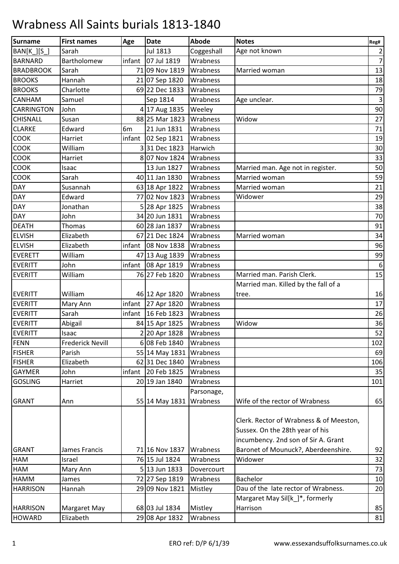## Wrabness All Saints burials 1813-1840

| Surname           | <b>First names</b>      | Age            | <b>Date</b>                | Abode      | <b>Notes</b>                            | Reg#             |
|-------------------|-------------------------|----------------|----------------------------|------------|-----------------------------------------|------------------|
| BAN[K_][S_]       | Sarah                   |                | Jul 1813                   | Coggeshall | Age not known                           | $\overline{2}$   |
| <b>BARNARD</b>    | Bartholomew             | infant         | 07 Jul 1819                | Wrabness   |                                         | 7                |
| <b>BRADBROOK</b>  | Sarah                   |                | 71 09 Nov 1819             | Wrabness   | Married woman                           | 13               |
| <b>BROOKS</b>     | Hannah                  |                | 21 07 Sep 1820             | Wrabness   |                                         | 18               |
| <b>BROOKS</b>     | Charlotte               |                | 69 22 Dec 1833             | Wrabness   |                                         | 79               |
| CANHAM            | Samuel                  |                | Sep 1814                   | Wrabness   | Age unclear.                            | $\mathbf{3}$     |
| <b>CARRINGTON</b> | John                    |                | 4 17 Aug 1835              | Weeley     |                                         | 90               |
| <b>CHISNALL</b>   | Susan                   |                | 88 25 Mar 1823             | Wrabness   | Widow                                   | 27               |
| <b>CLARKE</b>     | Edward                  | 6 <sub>m</sub> | 21 Jun 1831                | Wrabness   |                                         | 71               |
| COOK              | Harriet                 |                | infant $\vert$ 02 Sep 1821 | Wrabness   |                                         | 19               |
| <b>COOK</b>       | William                 |                | 331 Dec 1823               | Harwich    |                                         | 30               |
| COOK              | Harriet                 |                | 807 Nov 1824               | Wrabness   |                                         | 33               |
| COOK              | Isaac                   |                | 13 Jun 1827                | Wrabness   | Married man. Age not in register.       | 50               |
| COOK              | Sarah                   |                | 40 11 Jan 1830             | Wrabness   | Married woman                           | 59               |
| <b>DAY</b>        | Susannah                |                | 63 18 Apr 1822             | Wrabness   | Married woman                           | 21               |
| <b>DAY</b>        | Edward                  |                | 77 02 Nov 1823             | Wrabness   | Widower                                 | 29               |
| <b>DAY</b>        | Jonathan                |                | 5 28 Apr 1825              | Wrabness   |                                         | 38               |
| <b>DAY</b>        | John                    |                | 34 20 Jun 1831             | Wrabness   |                                         | 70               |
| <b>DEATH</b>      | Thomas                  |                | 60 28 Jan 1837             | Wrabness   |                                         | 91               |
| <b>ELVISH</b>     | Elizabeth               |                | 67 21 Dec 1824             | Wrabness   | Married woman                           | 34               |
| <b>ELVISH</b>     | Elizabeth               | infant         | 08 Nov 1838                | Wrabness   |                                         | 96               |
| <b>EVERETT</b>    | William                 |                | 47 13 Aug 1839             | Wrabness   |                                         | 99               |
| <b>EVERITT</b>    | John                    |                | infant 08 Apr 1819         | Wrabness   |                                         | $\boldsymbol{6}$ |
| <b>EVERITT</b>    | William                 |                | 76 27 Feb 1820             | Wrabness   | Married man. Parish Clerk.              | 15               |
|                   |                         |                |                            |            | Married man. Killed by the fall of a    |                  |
| <b>EVERITT</b>    | William                 |                | 46 12 Apr 1820             | Wrabness   | tree.                                   | 16               |
| <b>EVERITT</b>    | Mary Ann                | infant         | 27 Apr 1820                | Wrabness   |                                         | 17               |
| <b>EVERITT</b>    | Sarah                   | infant         | 16 Feb 1823                | Wrabness   |                                         | 26               |
| <b>EVERITT</b>    | Abigail                 |                | 84 15 Apr 1825             | Wrabness   | Widow                                   | 36               |
| <b>EVERITT</b>    | Isaac                   |                | 2 20 Apr 1828              | Wrabness   |                                         | 52               |
| FENN              | <b>Frederick Nevill</b> |                | 6 08 Feb 1840              | Wrabness   |                                         | 102              |
| <b>FISHER</b>     | Parish                  |                | 55 14 May 1831             | Wrabness   |                                         | 69               |
| <b>FISHER</b>     | Elizabeth               |                | 6231 Dec 1840              | Wrabness   |                                         | 106              |
| <b>GAYMER</b>     | John                    | infant         | 20 Feb 1825                | Wrabness   |                                         | 35               |
| <b>GOSLING</b>    | Harriet                 |                | 20 19 Jan 1840             | Wrabness   |                                         | 101              |
|                   |                         |                |                            | Parsonage, |                                         |                  |
| <b>GRANT</b>      | Ann                     |                | 55 14 May 1831             | Wrabness   | Wife of the rector of Wrabness          | 65               |
|                   |                         |                |                            |            |                                         |                  |
|                   |                         |                |                            |            | Clerk. Rector of Wrabness & of Meeston, |                  |
|                   |                         |                |                            |            | Sussex. On the 28th year of his         |                  |
|                   |                         |                |                            |            | incumbency. 2nd son of Sir A. Grant     |                  |
| <b>GRANT</b>      | James Francis           |                | 71 16 Nov 1837             | Wrabness   | Baronet of Mounuck?, Aberdeenshire.     | 92               |
| HAM               | Israel                  |                | 76 15 Jul 1824             | Wrabness   | Widower                                 | 32               |
| HAM               | Mary Ann                |                | $5 13$ Jun 1833            | Dovercourt |                                         | 73               |
| HAMM              | James                   |                | 72 27 Sep 1819             | Wrabness   | Bachelor                                | 10               |
| <b>HARRISON</b>   | Hannah                  |                | 29 09 Nov 1821             | Mistley    | Dau of the late rector of Wrabness.     | 20               |
|                   |                         |                |                            |            | Margaret May Sil[k_]*, formerly         |                  |
| <b>HARRISON</b>   | Margaret May            |                | 68 03 Jul 1834             | Mistley    | Harrison                                | 85               |
| <b>HOWARD</b>     | Elizabeth               |                | 29 08 Apr 1832             | Wrabness   |                                         | 81               |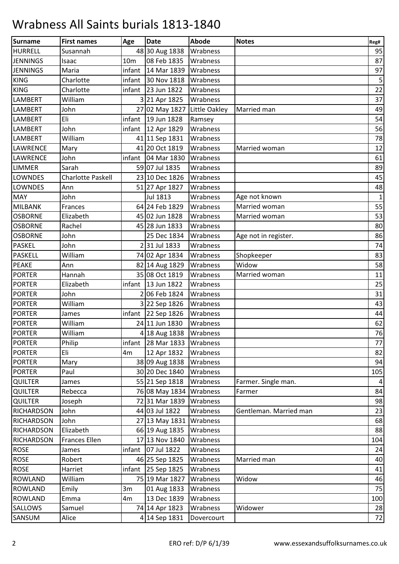## Wrabness All Saints burials 1813-1840

| Surname           | <b>First names</b>       | Age             | <b>Date</b>             | <b>Abode</b>  | <b>Notes</b>           | Reg#           |
|-------------------|--------------------------|-----------------|-------------------------|---------------|------------------------|----------------|
| <b>HURRELL</b>    | Susannah                 |                 | 48 30 Aug 1838          | Wrabness      |                        | 95             |
| <b>JENNINGS</b>   | Isaac                    | 10 <sub>m</sub> | 08 Feb 1835             | Wrabness      |                        | 87             |
| <b>JENNINGS</b>   | Maria                    | infant          | 14 Mar 1839             | Wrabness      |                        | 97             |
| <b>KING</b>       | Charlotte                | infant          | 30 Nov 1818             | Wrabness      |                        | $\overline{5}$ |
| <b>KING</b>       | Charlotte                | infant          | 23 Jun 1822             | Wrabness      |                        | 22             |
| <b>LAMBERT</b>    | William                  |                 | 3 21 Apr 1825           | Wrabness      |                        | 37             |
| <b>LAMBERT</b>    | John                     |                 | 27 02 May 1827          | Little Oakley | Married man            | 49             |
| <b>LAMBERT</b>    | Eli                      | infant          | 19 Jun 1828             | Ramsey        |                        | 54             |
| <b>LAMBERT</b>    | John                     | infant          | 12 Apr 1829             | Wrabness      |                        | 56             |
| <b>LAMBERT</b>    | William                  |                 | 41 11 Sep 1831          | Wrabness      |                        | 78             |
| <b>LAWRENCE</b>   | Mary                     |                 | 41 20 Oct 1819          | Wrabness      | Married woman          | 12             |
| <b>LAWRENCE</b>   | John                     | infant          | 04 Mar 1830             | Wrabness      |                        | 61             |
| <b>LIMMER</b>     | Sarah                    |                 | 59 07 Jul 1835          | Wrabness      |                        | 89             |
| <b>LOWNDES</b>    | <b>Charlotte Paskell</b> |                 | 23 10 Dec 1826          | Wrabness      |                        | 45             |
| <b>LOWNDES</b>    | Ann                      |                 | 51 27 Apr 1827          | Wrabness      |                        | 48             |
| <b>MAY</b>        | John                     |                 | Jul 1813                | Wrabness      | Age not known          | $\mathbf{1}$   |
| MILBANK           | Frances                  |                 | 64 24 Feb 1829          | Wrabness      | Married woman          | 55             |
| <b>OSBORNE</b>    | Elizabeth                |                 | 45 02 Jun 1828          | Wrabness      | Married woman          | 53             |
| <b>OSBORNE</b>    | Rachel                   |                 | 45 28 Jun 1833          | Wrabness      |                        | 80             |
| <b>OSBORNE</b>    | John                     |                 | 25 Dec 1834             | Wrabness      | Age not in register.   | 86             |
| <b>PASKEL</b>     | John                     |                 | 231 Jul 1833            | Wrabness      |                        | 74             |
| <b>PASKELL</b>    | William                  |                 | 74 02 Apr 1834          | Wrabness      | Shopkeeper             | 83             |
| <b>PEAKE</b>      | Ann                      |                 | 82 14 Aug 1829          | Wrabness      | Widow                  | 58             |
| <b>PORTER</b>     | Hannah                   |                 | 35 08 Oct 1819          | Wrabness      | Married woman          | 11             |
| <b>PORTER</b>     | Elizabeth                | infant          | 13 Jun 1822             | Wrabness      |                        | 25             |
| <b>PORTER</b>     | John                     |                 | 2 06 Feb 1824           | Wrabness      |                        | 31             |
| <b>PORTER</b>     | William                  |                 | 3 22 Sep 1826           | Wrabness      |                        | 43             |
| <b>PORTER</b>     | James                    |                 | infant 22 Sep $1826$    | Wrabness      |                        | 44             |
| <b>PORTER</b>     | William                  |                 | 24 11 Jun 1830          | Wrabness      |                        | 62             |
| <b>PORTER</b>     | William                  |                 | 4 18 Aug 1838           | Wrabness      |                        | 76             |
| <b>PORTER</b>     | Philip                   | infant          | 28 Mar 1833             | Wrabness      |                        | 77             |
| <b>PORTER</b>     | Eli                      | 4m              | 12 Apr 1832             | Wrabness      |                        | 82             |
| <b>PORTER</b>     | Mary                     |                 | 38 09 Aug 1838          | Wrabness      |                        | 94             |
| <b>PORTER</b>     | Paul                     |                 | 30 20 Dec 1840          | Wrabness      |                        | 105            |
| <b>QUILTER</b>    | James                    |                 | 55 21 Sep 1818          | Wrabness      | Farmer. Single man.    | 4              |
| <b>QUILTER</b>    | Rebecca                  |                 | 76 08 May 1834 Wrabness |               | Farmer                 | 84             |
| <b>QUILTER</b>    | Joseph                   |                 | 72 31 Mar 1839          | Wrabness      |                        | 98             |
| RICHARDSON        | John                     |                 | 44 03 Jul 1822          | Wrabness      | Gentleman. Married man | 23             |
| <b>RICHARDSON</b> | John                     |                 | 27 13 May 1831          | Wrabness      |                        | 68             |
| <b>RICHARDSON</b> | Elizabeth                |                 | 66 19 Aug 1835          | Wrabness      |                        | 88             |
| <b>RICHARDSON</b> | Frances Ellen            |                 | 17 13 Nov 1840          | Wrabness      |                        | 104            |
| <b>ROSE</b>       | James                    | infant          | 07 Jul 1822             | Wrabness      |                        | 24             |
| <b>ROSE</b>       | Robert                   |                 | 46 25 Sep 1825          | Wrabness      | Married man            | 40             |
| <b>ROSE</b>       | Harriet                  |                 | infant 25 Sep 1825      | Wrabness      |                        | 41             |
| <b>ROWLAND</b>    | William                  |                 | 75 19 Mar 1827          | Wrabness      | Widow                  | 46             |
| <b>ROWLAND</b>    | Emily                    | 3m              | 01 Aug 1833             | Wrabness      |                        | 75             |
| <b>ROWLAND</b>    | Emma                     | 4m              | 13 Dec 1839             | Wrabness      |                        | 100            |
| <b>SALLOWS</b>    | Samuel                   |                 | 74 14 Apr 1823          | Wrabness      | Widower                | 28             |
| SANSUM            | Alice                    |                 | 4 14 Sep 1831           | Dovercourt    |                        | 72             |